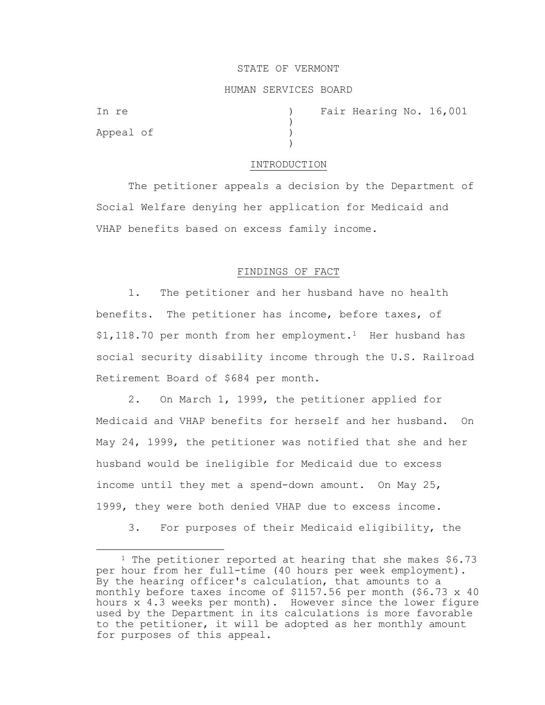#### STATE OF VERMONT

#### HUMAN SERVICES BOARD

)

 $\lambda$ 

Appeal of )

In re (a) The Fair Hearing No. 16,001

#### INTRODUCTION

The petitioner appeals a decision by the Department of Social Welfare denying her application for Medicaid and VHAP benefits based on excess family income.

# FINDINGS OF FACT

1. The petitioner and her husband have no health benefits. The petitioner has income, before taxes, of  $$1,118.70$  per month from her employment.<sup>1</sup> Her husband has social security disability income through the U.S. Railroad Retirement Board of \$684 per month.

2. On March 1, 1999, the petitioner applied for Medicaid and VHAP benefits for herself and her husband. On May 24, 1999, the petitioner was notified that she and her husband would be ineligible for Medicaid due to excess income until they met a spend-down amount. On May 25, 1999, they were both denied VHAP due to excess income.

3. For purposes of their Medicaid eligibility, the

<sup>&</sup>lt;sup>1</sup> The petitioner reported at hearing that she makes \$6.73 per hour from her full-time (40 hours per week employment). By the hearing officer's calculation, that amounts to a monthly before taxes income of \$1157.56 per month (\$6.73 x 40 hours x 4.3 weeks per month). However since the lower figure used by the Department in its calculations is more favorable to the petitioner, it will be adopted as her monthly amount for purposes of this appeal.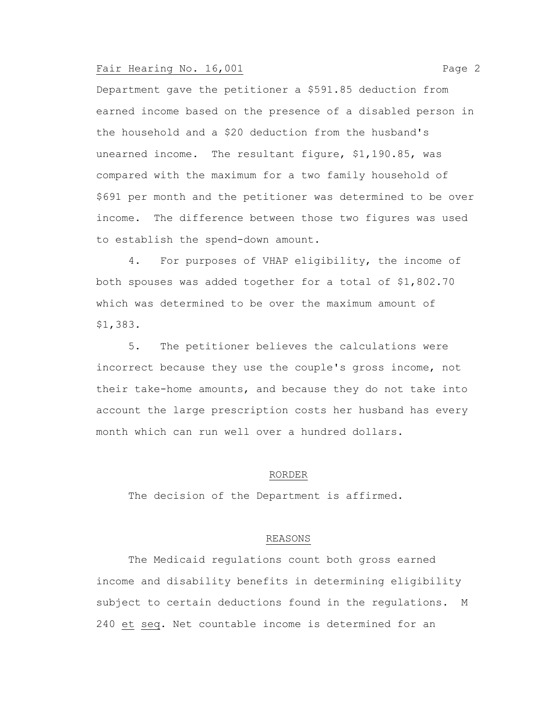## Fair Hearing No. 16,001 **Page 2**

Department gave the petitioner a \$591.85 deduction from earned income based on the presence of a disabled person in the household and a \$20 deduction from the husband's unearned income. The resultant figure, \$1,190.85, was compared with the maximum for a two family household of \$691 per month and the petitioner was determined to be over income. The difference between those two figures was used to establish the spend-down amount.

4. For purposes of VHAP eligibility, the income of both spouses was added together for a total of \$1,802.70 which was determined to be over the maximum amount of \$1,383.

5. The petitioner believes the calculations were incorrect because they use the couple's gross income, not their take-home amounts, and because they do not take into account the large prescription costs her husband has every month which can run well over a hundred dollars.

#### RORDER

The decision of the Department is affirmed.

# REASONS

The Medicaid regulations count both gross earned income and disability benefits in determining eligibility subject to certain deductions found in the regulations. M 240 et seq. Net countable income is determined for an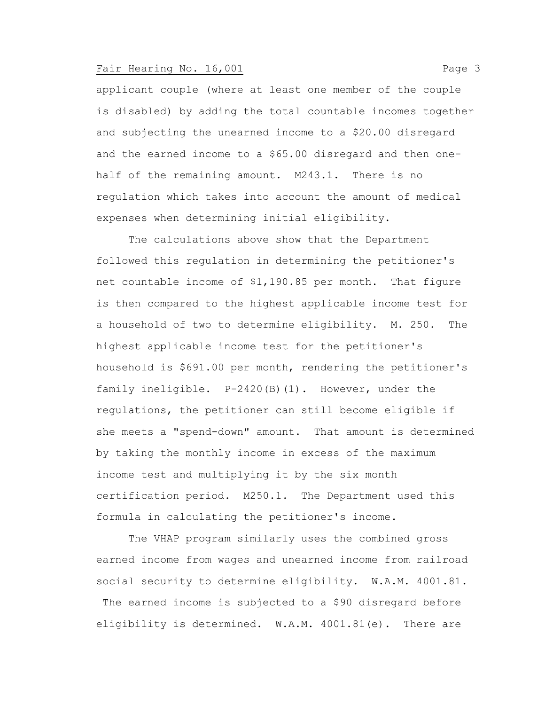## Fair Hearing No. 16,001 **Page 3**

applicant couple (where at least one member of the couple is disabled) by adding the total countable incomes together and subjecting the unearned income to a \$20.00 disregard and the earned income to a \$65.00 disregard and then onehalf of the remaining amount. M243.1. There is no regulation which takes into account the amount of medical expenses when determining initial eligibility.

The calculations above show that the Department followed this regulation in determining the petitioner's net countable income of \$1,190.85 per month. That figure is then compared to the highest applicable income test for a household of two to determine eligibility. M. 250. The highest applicable income test for the petitioner's household is \$691.00 per month, rendering the petitioner's family ineligible. P-2420(B)(1). However, under the regulations, the petitioner can still become eligible if she meets a "spend-down" amount. That amount is determined by taking the monthly income in excess of the maximum income test and multiplying it by the six month certification period. M250.1. The Department used this formula in calculating the petitioner's income.

The VHAP program similarly uses the combined gross earned income from wages and unearned income from railroad social security to determine eligibility. W.A.M. 4001.81. The earned income is subjected to a \$90 disregard before eligibility is determined. W.A.M. 4001.81(e). There are